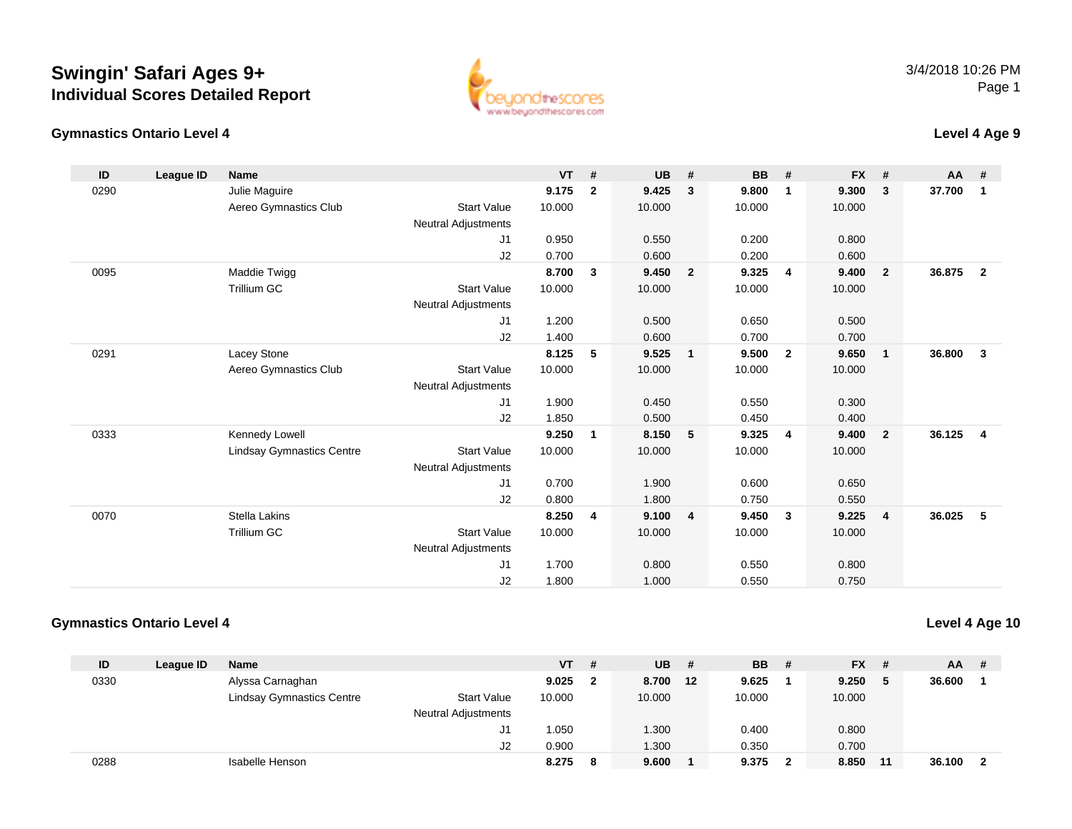### **Gymnastics Ontario Level 4**



### **Level 4 Age 9**

| ID   | League ID | <b>Name</b>                      |                            | <b>VT</b> | #              | <b>UB</b> | #              | <b>BB</b> | #              | <b>FX</b> | #                          | AA     | #                       |
|------|-----------|----------------------------------|----------------------------|-----------|----------------|-----------|----------------|-----------|----------------|-----------|----------------------------|--------|-------------------------|
| 0290 |           | Julie Maguire                    |                            | 9.175     | $\overline{2}$ | 9.425     | 3              | 9.800     | $\mathbf{1}$   | 9.300     | $\mathbf{3}$               | 37.700 | $\mathbf{1}$            |
|      |           | Aereo Gymnastics Club            | <b>Start Value</b>         | 10.000    |                | 10.000    |                | 10.000    |                | 10.000    |                            |        |                         |
|      |           |                                  | Neutral Adjustments        |           |                |           |                |           |                |           |                            |        |                         |
|      |           |                                  | J1                         | 0.950     |                | 0.550     |                | 0.200     |                | 0.800     |                            |        |                         |
|      |           |                                  | J2                         | 0.700     |                | 0.600     |                | 0.200     |                | 0.600     |                            |        |                         |
| 0095 |           | Maddie Twigg                     |                            | 8.700     | 3              | 9.450     | $\overline{2}$ | 9.325     | 4              | 9.400     | $\overline{\mathbf{2}}$    | 36.875 | $\overline{2}$          |
|      |           | Trillium GC                      | <b>Start Value</b>         | 10.000    |                | 10.000    |                | 10.000    |                | 10.000    |                            |        |                         |
|      |           |                                  | Neutral Adjustments        |           |                |           |                |           |                |           |                            |        |                         |
|      |           |                                  | J1                         | 1.200     |                | 0.500     |                | 0.650     |                | 0.500     |                            |        |                         |
|      |           |                                  | J2                         | 1.400     |                | 0.600     |                | 0.700     |                | 0.700     |                            |        |                         |
| 0291 |           | Lacey Stone                      |                            | 8.125     | 5              | 9.525     | $\mathbf{1}$   | 9.500     | $\overline{2}$ | 9.650     | $\overline{\phantom{0}}$ 1 | 36.800 | $\overline{\mathbf{3}}$ |
|      |           | Aereo Gymnastics Club            | <b>Start Value</b>         | 10.000    |                | 10.000    |                | 10.000    |                | 10.000    |                            |        |                         |
|      |           |                                  | Neutral Adjustments        |           |                |           |                |           |                |           |                            |        |                         |
|      |           |                                  | J1                         | 1.900     |                | 0.450     |                | 0.550     |                | 0.300     |                            |        |                         |
|      |           |                                  | J2                         | 1.850     |                | 0.500     |                | 0.450     |                | 0.400     |                            |        |                         |
| 0333 |           | Kennedy Lowell                   |                            | 9.250     | $\mathbf{1}$   | 8.150     | 5              | 9.325     | $\overline{4}$ | 9.400     | $\overline{\mathbf{2}}$    | 36.125 | $\overline{\mathbf{4}}$ |
|      |           | <b>Lindsay Gymnastics Centre</b> | <b>Start Value</b>         | 10.000    |                | 10.000    |                | 10.000    |                | 10.000    |                            |        |                         |
|      |           |                                  | <b>Neutral Adjustments</b> |           |                |           |                |           |                |           |                            |        |                         |
|      |           |                                  | J1                         | 0.700     |                | 1.900     |                | 0.600     |                | 0.650     |                            |        |                         |
|      |           |                                  | J2                         | 0.800     |                | 1.800     |                | 0.750     |                | 0.550     |                            |        |                         |
| 0070 |           | <b>Stella Lakins</b>             |                            | 8.250     | 4              | 9.100     | $\overline{4}$ | 9.450     | $\mathbf{3}$   | 9.225     | $\overline{4}$             | 36.025 | 5                       |
|      |           | Trillium GC                      | <b>Start Value</b>         | 10.000    |                | 10.000    |                | 10.000    |                | 10.000    |                            |        |                         |
|      |           |                                  | <b>Neutral Adjustments</b> |           |                |           |                |           |                |           |                            |        |                         |
|      |           |                                  | J <sub>1</sub>             | 1.700     |                | 0.800     |                | 0.550     |                | 0.800     |                            |        |                         |
|      |           |                                  | J <sub>2</sub>             | 1.800     |                | 1.000     |                | 0.550     |                | 0.750     |                            |        |                         |

### **Gymnastics Ontario Level 4**

**Level 4 Age 10**

| ID   | League ID | Name                             |                            | <b>VT</b> | #            | <b>UB</b> | -# | <b>BB</b> | - # | <b>FX</b> | -#  | <b>AA</b> | # |
|------|-----------|----------------------------------|----------------------------|-----------|--------------|-----------|----|-----------|-----|-----------|-----|-----------|---|
| 0330 |           | Alyssa Carnaghan                 |                            | 9.025     | $\mathbf{2}$ | 8.700     | 12 | 9.625     |     | 9.250     | - 5 | 36.600    |   |
|      |           | <b>Lindsay Gymnastics Centre</b> | <b>Start Value</b>         | 10.000    |              | 10.000    |    | 10.000    |     | 10.000    |     |           |   |
|      |           |                                  | <b>Neutral Adjustments</b> |           |              |           |    |           |     |           |     |           |   |
|      |           |                                  | J1.                        | 1.050     |              | 1.300     |    | 0.400     |     | 0.800     |     |           |   |
|      |           |                                  | J2                         | 0.900     |              | 1.300     |    | 0.350     |     | 0.700     |     |           |   |
| 0288 |           | Isabelle Henson                  |                            | 8.275     | 8            | 9.600     |    | 9.375     |     | 8.850     | -11 | 36.100    |   |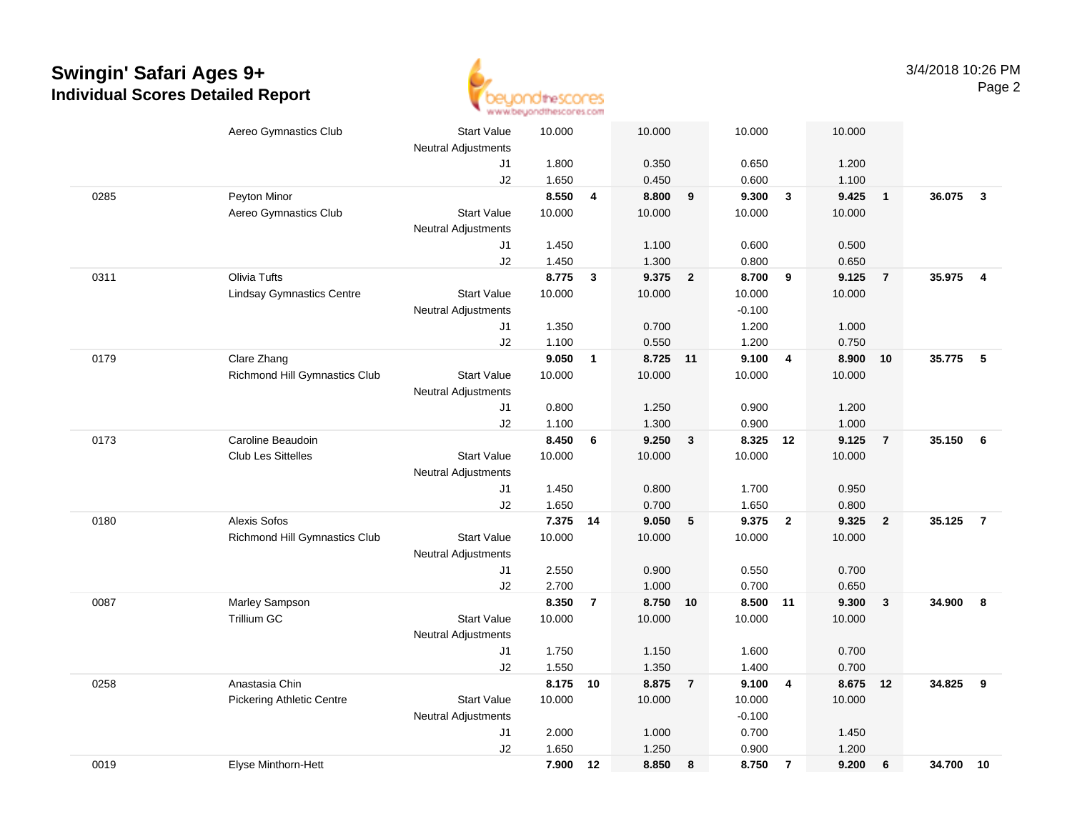

|      | Aereo Gymnastics Club            | <b>Start Value</b>         | 10.000         |                | 10.000         |                | 10.000         |                         | 10.000         |                 |        |                         |
|------|----------------------------------|----------------------------|----------------|----------------|----------------|----------------|----------------|-------------------------|----------------|-----------------|--------|-------------------------|
|      |                                  | <b>Neutral Adjustments</b> |                |                |                |                |                |                         |                |                 |        |                         |
|      |                                  | J1                         | 1.800          |                | 0.350          |                | 0.650          |                         | 1.200          |                 |        |                         |
|      |                                  | J2                         | 1.650          |                | 0.450          |                | 0.600          |                         | 1.100          |                 |        |                         |
| 0285 | Peyton Minor                     |                            | 8.550          | $\overline{4}$ | 8.800          | 9              | 9.300          | $\overline{\mathbf{3}}$ | 9.425          | $\overline{1}$  | 36.075 | $\overline{\mathbf{3}}$ |
|      | Aereo Gymnastics Club            | <b>Start Value</b>         | 10.000         |                | 10.000         |                | 10.000         |                         | 10.000         |                 |        |                         |
|      |                                  | <b>Neutral Adjustments</b> |                |                |                |                |                |                         |                |                 |        |                         |
|      |                                  | J1                         | 1.450          |                | 1.100          |                | 0.600          |                         | 0.500          |                 |        |                         |
|      |                                  | J2                         | 1.450          |                | 1.300          |                | 0.800          |                         | 0.650          |                 |        |                         |
| 0311 | Olivia Tufts                     |                            | 8.775          | 3              | 9.375          | $\overline{2}$ | 8.700          | 9                       | 9.125          | $\overline{7}$  | 35.975 | $\overline{4}$          |
|      | <b>Lindsay Gymnastics Centre</b> | <b>Start Value</b>         | 10.000         |                | 10.000         |                | 10.000         |                         | 10.000         |                 |        |                         |
|      |                                  | <b>Neutral Adjustments</b> |                |                |                |                | $-0.100$       |                         |                |                 |        |                         |
|      |                                  | J1                         | 1.350          |                | 0.700          |                | 1.200          |                         | 1.000          |                 |        |                         |
|      |                                  | J2                         | 1.100          |                | 0.550          |                | 1.200          |                         | 0.750          |                 |        |                         |
| 0179 | Clare Zhang                      |                            | 9.050          | 1              | 8.725 11       |                | 9.100          | $\overline{4}$          | 8.900          | 10              | 35.775 | $-5$                    |
|      | Richmond Hill Gymnastics Club    | <b>Start Value</b>         | 10.000         |                | 10.000         |                | 10.000         |                         | 10.000         |                 |        |                         |
|      |                                  | Neutral Adjustments        |                |                |                |                |                |                         |                |                 |        |                         |
|      |                                  | J1                         | 0.800          |                | 1.250          |                | 0.900          |                         | 1.200          |                 |        |                         |
|      |                                  | J2                         | 1.100          |                | 1.300          |                | 0.900          |                         | 1.000          |                 |        |                         |
| 0173 | Caroline Beaudoin                |                            | 8.450          | 6              | 9.250          | $\mathbf{3}$   | 8.325 12       |                         | 9.125          | $\overline{7}$  | 35.150 | 6                       |
|      | <b>Club Les Sittelles</b>        | <b>Start Value</b>         | 10.000         |                | 10.000         |                | 10.000         |                         | 10.000         |                 |        |                         |
|      |                                  | <b>Neutral Adjustments</b> |                |                |                |                |                |                         |                |                 |        |                         |
|      |                                  | J1                         | 1.450          |                | 0.800          |                | 1.700          |                         | 0.950          |                 |        |                         |
|      |                                  | J2                         | 1.650          |                | 0.700          |                | 1.650          |                         | 0.800          |                 |        |                         |
| 0180 | Alexis Sofos                     |                            | 7.375 14       |                | 9.050          | 5              | 9.375          | $\overline{\mathbf{2}}$ | 9.325          | $\overline{2}$  | 35.125 | $\overline{7}$          |
|      | Richmond Hill Gymnastics Club    | <b>Start Value</b>         | 10.000         |                | 10.000         |                | 10.000         |                         | 10.000         |                 |        |                         |
|      |                                  | Neutral Adjustments        |                |                |                |                |                |                         |                |                 |        |                         |
|      |                                  | J1<br>J2                   | 2.550<br>2.700 |                | 0.900<br>1.000 |                | 0.550<br>0.700 |                         | 0.700<br>0.650 |                 |        |                         |
| 0087 | Marley Sampson                   |                            | 8.350          | $\overline{7}$ | 8.750 10       |                | 8.500 11       |                         | 9.300          | $\mathbf{3}$    | 34.900 | 8                       |
|      | <b>Trillium GC</b>               | <b>Start Value</b>         | 10.000         |                | 10.000         |                | 10.000         |                         | 10.000         |                 |        |                         |
|      |                                  | <b>Neutral Adjustments</b> |                |                |                |                |                |                         |                |                 |        |                         |
|      |                                  | J1                         | 1.750          |                | 1.150          |                | 1.600          |                         | 0.700          |                 |        |                         |
|      |                                  | J2                         | 1.550          |                | 1.350          |                | 1.400          |                         | 0.700          |                 |        |                         |
| 0258 | Anastasia Chin                   |                            | 8.175          | 10             | 8.875          | $\overline{7}$ | 9.100          | $\overline{4}$          | 8.675          | 12              | 34.825 | 9                       |
|      | <b>Pickering Athletic Centre</b> | <b>Start Value</b>         | 10.000         |                | 10.000         |                | 10.000         |                         | 10.000         |                 |        |                         |
|      |                                  | Neutral Adjustments        |                |                |                |                | $-0.100$       |                         |                |                 |        |                         |
|      |                                  | J1                         | 2.000          |                | 1.000          |                | 0.700          |                         | 1.450          |                 |        |                         |
|      |                                  | J2                         | 1.650          |                | 1.250          |                | 0.900          |                         | 1.200          |                 |        |                         |
| 0019 | Elyse Minthorn-Hett              |                            | 7.900          | 12             | 8.850          | 8              | 8.750          | $\overline{7}$          | 9.200          | $6\phantom{1}6$ | 34.700 | 10                      |
|      |                                  |                            |                |                |                |                |                |                         |                |                 |        |                         |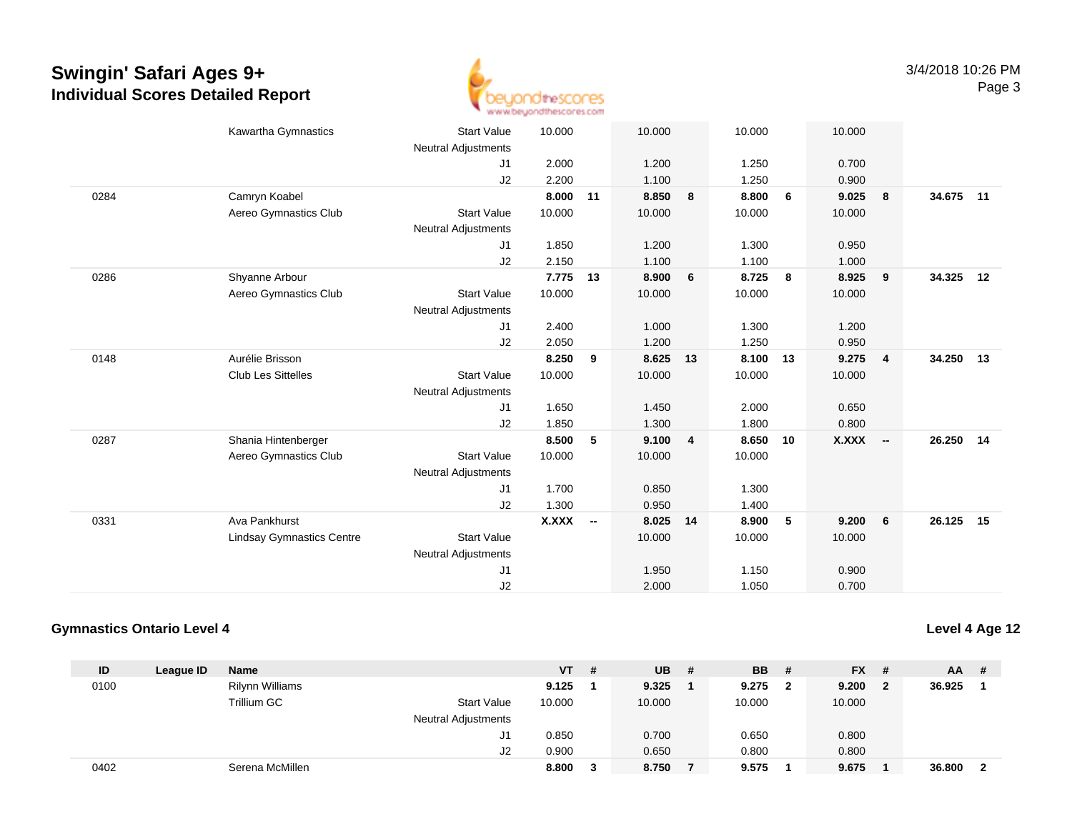

|      | Kawartha Gymnastics              | <b>Start Value</b><br><b>Neutral Adjustments</b> | 10.000       |                          | 10.000 |    | 10.000 |    | 10.000 |                         |           |    |
|------|----------------------------------|--------------------------------------------------|--------------|--------------------------|--------|----|--------|----|--------|-------------------------|-----------|----|
|      |                                  | J <sub>1</sub>                                   | 2.000        |                          | 1.200  |    | 1.250  |    | 0.700  |                         |           |    |
|      |                                  | J2                                               | 2.200        |                          | 1.100  |    | 1.250  |    | 0.900  |                         |           |    |
| 0284 | Camryn Koabel                    |                                                  | 8.000        | 11                       | 8.850  | 8  | 8.800  | 6  | 9.025  | 8                       | 34.675 11 |    |
|      | Aereo Gymnastics Club            | <b>Start Value</b>                               | 10.000       |                          | 10.000 |    | 10.000 |    | 10.000 |                         |           |    |
|      |                                  | <b>Neutral Adjustments</b>                       |              |                          |        |    |        |    |        |                         |           |    |
|      |                                  | J1                                               | 1.850        |                          | 1.200  |    | 1.300  |    | 0.950  |                         |           |    |
|      |                                  | J2                                               | 2.150        |                          | 1.100  |    | 1.100  |    | 1.000  |                         |           |    |
| 0286 | Shyanne Arbour                   |                                                  | 7.775        | 13                       | 8.900  | 6  | 8.725  | 8  | 8.925  | $\overline{\mathbf{9}}$ | 34.325    | 12 |
|      | Aereo Gymnastics Club            | <b>Start Value</b>                               | 10.000       |                          | 10.000 |    | 10.000 |    | 10.000 |                         |           |    |
|      |                                  | <b>Neutral Adjustments</b>                       |              |                          |        |    |        |    |        |                         |           |    |
|      |                                  | J <sub>1</sub>                                   | 2.400        |                          | 1.000  |    | 1.300  |    | 1.200  |                         |           |    |
|      |                                  | J <sub>2</sub>                                   | 2.050        |                          | 1.200  |    | 1.250  |    | 0.950  |                         |           |    |
| 0148 | Aurélie Brisson                  |                                                  | 8.250        | 9                        | 8.625  | 13 | 8.100  | 13 | 9.275  | $\overline{4}$          | 34.250 13 |    |
|      | <b>Club Les Sittelles</b>        | <b>Start Value</b>                               | 10.000       |                          | 10.000 |    | 10.000 |    | 10.000 |                         |           |    |
|      |                                  | <b>Neutral Adjustments</b>                       |              |                          |        |    |        |    |        |                         |           |    |
|      |                                  | J1                                               | 1.650        |                          | 1.450  |    | 2.000  |    | 0.650  |                         |           |    |
|      |                                  | J2                                               | 1.850        |                          | 1.300  |    | 1.800  |    | 0.800  |                         |           |    |
| 0287 | Shania Hintenberger              |                                                  | 8.500        | 5                        | 9.100  | 4  | 8.650  | 10 | X.XXX  | $\sim$                  | 26.250 14 |    |
|      | Aereo Gymnastics Club            | <b>Start Value</b>                               | 10.000       |                          | 10.000 |    | 10.000 |    |        |                         |           |    |
|      |                                  | <b>Neutral Adjustments</b>                       |              |                          |        |    |        |    |        |                         |           |    |
|      |                                  | J1                                               | 1.700        |                          | 0.850  |    | 1.300  |    |        |                         |           |    |
|      |                                  | J2                                               | 1.300        |                          | 0.950  |    | 1.400  |    |        |                         |           |    |
| 0331 | Ava Pankhurst                    |                                                  | <b>X.XXX</b> | $\overline{\phantom{a}}$ | 8.025  | 14 | 8.900  | 5  | 9.200  | 6                       | 26.125 15 |    |
|      | <b>Lindsay Gymnastics Centre</b> | <b>Start Value</b>                               |              |                          | 10.000 |    | 10.000 |    | 10.000 |                         |           |    |
|      |                                  | <b>Neutral Adjustments</b>                       |              |                          |        |    |        |    |        |                         |           |    |
|      |                                  | J <sub>1</sub>                                   |              |                          | 1.950  |    | 1.150  |    | 0.900  |                         |           |    |
|      |                                  | J2                                               |              |                          | 2.000  |    | 1.050  |    | 0.700  |                         |           |    |

#### **Gymnastics Ontario Level 4**

**Level 4 Age 12**

| ID   | League ID | <b>Name</b>     |                     | <b>VT</b> | # | <b>UB</b> | # | <b>BB</b> | - # | <b>FX</b> | - # | AA     | -# |
|------|-----------|-----------------|---------------------|-----------|---|-----------|---|-----------|-----|-----------|-----|--------|----|
| 0100 |           | Rilynn Williams |                     | 9.125     |   | 9.325     |   | 9.275     | 2   | 9.200     | - 2 | 36.925 |    |
|      |           | Trillium GC     | <b>Start Value</b>  | 10.000    |   | 10.000    |   | 10.000    |     | 10.000    |     |        |    |
|      |           |                 | Neutral Adjustments |           |   |           |   |           |     |           |     |        |    |
|      |           |                 | J1                  | 0.850     |   | 0.700     |   | 0.650     |     | 0.800     |     |        |    |
|      |           |                 | J2                  | 0.900     |   | 0.650     |   | 0.800     |     | 0.800     |     |        |    |
| 0402 |           | Serena McMillen |                     | 8.800     | 3 | 8.750     |   | 9.575     |     | 9.675     |     | 36.800 | -2 |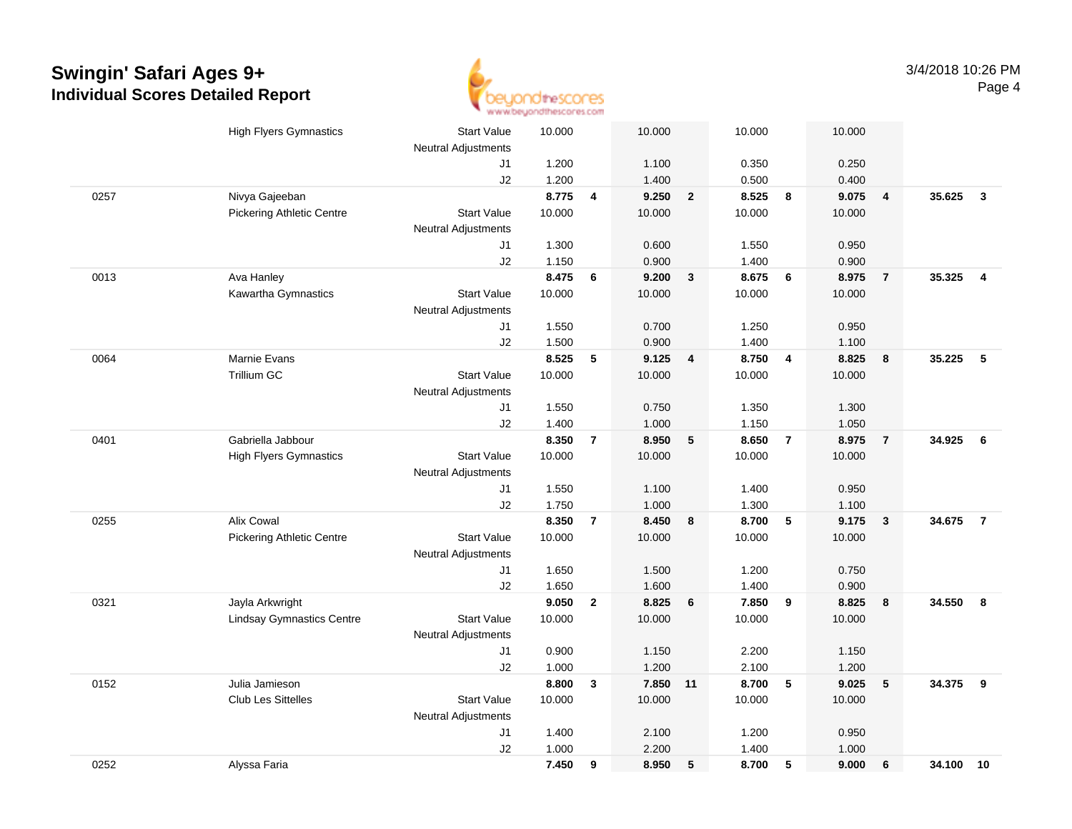

|      | <b>High Flyers Gymnastics</b>    | <b>Start Value</b>         | 10.000 |                 | 10.000   |                | 10.000 |                  | 10.000 |                |        |                |
|------|----------------------------------|----------------------------|--------|-----------------|----------|----------------|--------|------------------|--------|----------------|--------|----------------|
|      |                                  | <b>Neutral Adjustments</b> |        |                 |          |                |        |                  |        |                |        |                |
|      |                                  | J1                         | 1.200  |                 | 1.100    |                | 0.350  |                  | 0.250  |                |        |                |
|      |                                  | J2                         | 1.200  |                 | 1.400    |                | 0.500  |                  | 0.400  |                |        |                |
| 0257 | Nivya Gajeeban                   |                            | 8.775  | $\overline{4}$  | 9.250    | $\overline{2}$ | 8.525  | $\boldsymbol{8}$ | 9.075  | $\overline{4}$ | 35.625 | $\mathbf{3}$   |
|      | <b>Pickering Athletic Centre</b> | <b>Start Value</b>         | 10.000 |                 | 10.000   |                | 10.000 |                  | 10.000 |                |        |                |
|      |                                  | <b>Neutral Adjustments</b> |        |                 |          |                |        |                  |        |                |        |                |
|      |                                  | J1                         | 1.300  |                 | 0.600    |                | 1.550  |                  | 0.950  |                |        |                |
|      |                                  | J2                         | 1.150  |                 | 0.900    |                | 1.400  |                  | 0.900  |                |        |                |
| 0013 | Ava Hanley                       |                            | 8.475  | 6               | 9.200    | 3              | 8.675  | 6                | 8.975  | $\overline{7}$ | 35.325 | $\overline{4}$ |
|      | Kawartha Gymnastics              | <b>Start Value</b>         | 10.000 |                 | 10.000   |                | 10.000 |                  | 10.000 |                |        |                |
|      |                                  | <b>Neutral Adjustments</b> |        |                 |          |                |        |                  |        |                |        |                |
|      |                                  | J1                         | 1.550  |                 | 0.700    |                | 1.250  |                  | 0.950  |                |        |                |
|      |                                  | J2                         | 1.500  |                 | 0.900    |                | 1.400  |                  | 1.100  |                |        |                |
| 0064 | Marnie Evans                     |                            | 8.525  | $5\phantom{.0}$ | 9.125    | $\overline{4}$ | 8.750  | $\overline{4}$   | 8.825  | 8              | 35.225 | $-5$           |
|      | <b>Trillium GC</b>               | <b>Start Value</b>         | 10.000 |                 | 10.000   |                | 10.000 |                  | 10.000 |                |        |                |
|      |                                  | Neutral Adjustments        |        |                 |          |                |        |                  |        |                |        |                |
|      |                                  | J1                         | 1.550  |                 | 0.750    |                | 1.350  |                  | 1.300  |                |        |                |
|      |                                  | J2                         | 1.400  |                 | 1.000    |                | 1.150  |                  | 1.050  |                |        |                |
| 0401 | Gabriella Jabbour                |                            | 8.350  | $\overline{7}$  | 8.950    | $\sqrt{5}$     | 8.650  | $\overline{7}$   | 8.975  | $\overline{7}$ | 34.925 | 6              |
|      | <b>High Flyers Gymnastics</b>    | <b>Start Value</b>         | 10.000 |                 | 10.000   |                | 10.000 |                  | 10.000 |                |        |                |
|      |                                  | <b>Neutral Adjustments</b> |        |                 |          |                |        |                  |        |                |        |                |
|      |                                  | J1                         | 1.550  |                 | 1.100    |                | 1.400  |                  | 0.950  |                |        |                |
|      |                                  | J2                         | 1.750  |                 | 1.000    |                | 1.300  |                  | 1.100  |                |        |                |
| 0255 | Alix Cowal                       |                            | 8.350  | $\overline{7}$  | 8.450    | 8              | 8.700  | $\sqrt{5}$       | 9.175  | $\mathbf{3}$   | 34.675 | $\overline{7}$ |
|      | <b>Pickering Athletic Centre</b> | <b>Start Value</b>         | 10.000 |                 | 10.000   |                | 10.000 |                  | 10.000 |                |        |                |
|      |                                  | Neutral Adjustments        |        |                 |          |                |        |                  |        |                |        |                |
|      |                                  | J1                         | 1.650  |                 | 1.500    |                | 1.200  |                  | 0.750  |                |        |                |
|      |                                  | J2                         | 1.650  |                 | 1.600    |                | 1.400  |                  | 0.900  |                |        |                |
| 0321 | Jayla Arkwright                  |                            | 9.050  | $\overline{2}$  | 8.825    | 6              | 7.850  | 9                | 8.825  | 8              | 34.550 | 8              |
|      | <b>Lindsay Gymnastics Centre</b> | <b>Start Value</b>         | 10.000 |                 | 10.000   |                | 10.000 |                  | 10.000 |                |        |                |
|      |                                  | <b>Neutral Adjustments</b> |        |                 |          |                |        |                  |        |                |        |                |
|      |                                  | J1                         | 0.900  |                 | 1.150    |                | 2.200  |                  | 1.150  |                |        |                |
|      |                                  | J2                         | 1.000  |                 | 1.200    |                | 2.100  |                  | 1.200  |                |        |                |
| 0152 | Julia Jamieson                   |                            | 8.800  | $\mathbf{3}$    | 7.850 11 |                | 8.700  | $\sqrt{5}$       | 9.025  | ${\bf 5}$      | 34.375 | 9              |
|      | <b>Club Les Sittelles</b>        | <b>Start Value</b>         | 10.000 |                 | 10.000   |                | 10.000 |                  | 10.000 |                |        |                |
|      |                                  | Neutral Adjustments        |        |                 |          |                |        |                  |        |                |        |                |
|      |                                  | J1                         | 1.400  |                 | 2.100    |                | 1.200  |                  | 0.950  |                |        |                |
|      |                                  | J2                         | 1.000  |                 | 2.200    |                | 1.400  |                  | 1.000  |                |        |                |
| 0252 | Alyssa Faria                     |                            | 7.450  | 9               | 8.950    | 5              | 8.700  | 5                | 9.000  | 6              | 34.100 | 10             |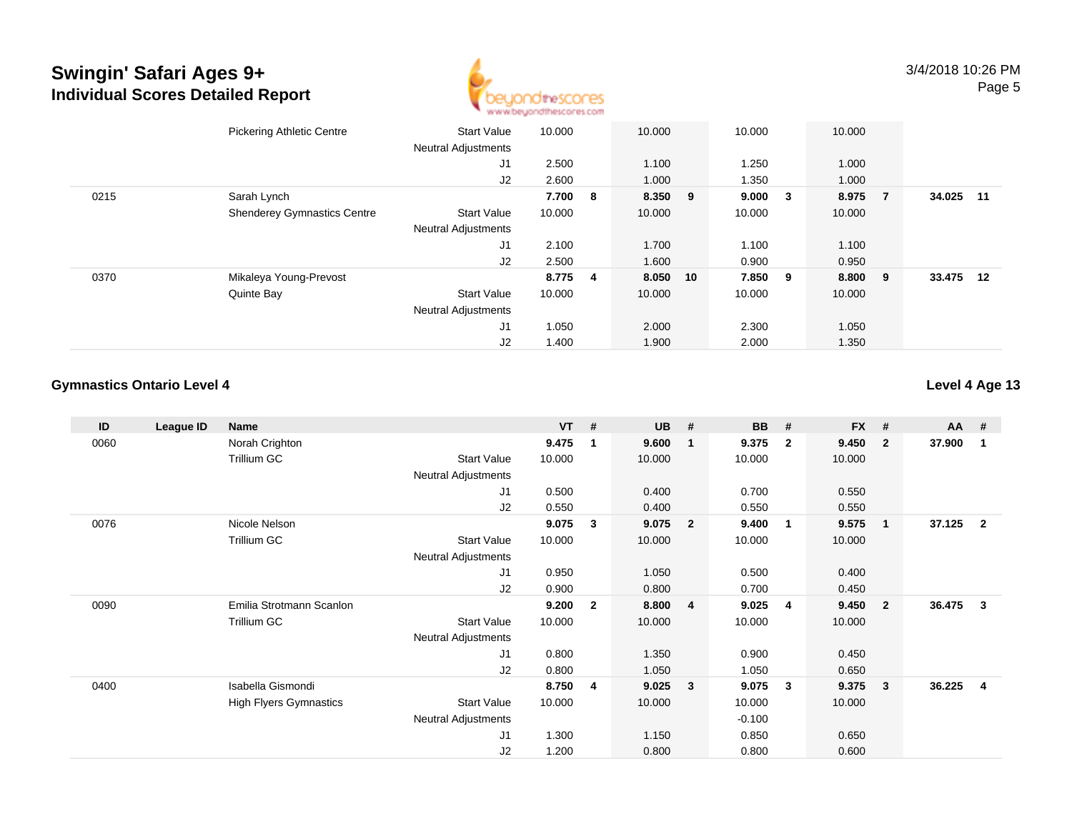

|      | <b>Pickering Athletic Centre</b>   | <b>Start Value</b><br><b>Neutral Adjustments</b> | 10.000  |     | 10.000   | 10.000 |        | 10.000  |                |           |  |
|------|------------------------------------|--------------------------------------------------|---------|-----|----------|--------|--------|---------|----------------|-----------|--|
|      |                                    | J1                                               | 2.500   |     | 1.100    | 1.250  |        | 1.000   |                |           |  |
|      |                                    | J2                                               | 2.600   |     | 1.000    | 1.350  |        | 1.000   |                |           |  |
| 0215 | Sarah Lynch                        |                                                  | 7.700   | - 8 | 8.350 9  | 9.000  | $_{3}$ | 8.975   | $\overline{7}$ | 34.025 11 |  |
|      | <b>Shenderey Gymnastics Centre</b> | <b>Start Value</b>                               | 10.000  |     | 10.000   | 10.000 |        | 10.000  |                |           |  |
|      |                                    | <b>Neutral Adjustments</b>                       |         |     |          |        |        |         |                |           |  |
|      |                                    | J1                                               | 2.100   |     | 1.700    | 1.100  |        | 1.100   |                |           |  |
|      |                                    | J2                                               | 2.500   |     | 1.600    | 0.900  |        | 0.950   |                |           |  |
| 0370 | Mikaleya Young-Prevost             |                                                  | 8.775 4 |     | 8.050 10 | 7.850  | - 9    | 8.800 9 |                | 33.475 12 |  |
|      | Quinte Bay                         | <b>Start Value</b>                               | 10.000  |     | 10.000   | 10.000 |        | 10.000  |                |           |  |
|      |                                    | <b>Neutral Adjustments</b>                       |         |     |          |        |        |         |                |           |  |
|      |                                    | J <sub>1</sub>                                   | 1.050   |     | 2.000    | 2.300  |        | 1.050   |                |           |  |
|      |                                    | J2                                               | 1.400   |     | 1.900    | 2.000  |        | 1.350   |                |           |  |

### **Gymnastics Ontario Level 4**

**Level 4 Age 13**

| ID   | League ID | Name                          |                            | $VT$ # |              | <b>UB</b> | #                       | <b>BB</b> | #                       | <b>FX</b> | #              | <b>AA</b> | #              |
|------|-----------|-------------------------------|----------------------------|--------|--------------|-----------|-------------------------|-----------|-------------------------|-----------|----------------|-----------|----------------|
| 0060 |           | Norah Crighton                |                            | 9.475  | 1            | 9.600     | $\overline{\mathbf{1}}$ | 9.375     | $\overline{2}$          | 9.450     | $\mathbf{2}$   | 37.900    | 1              |
|      |           | Trillium GC                   | <b>Start Value</b>         | 10.000 |              | 10.000    |                         | 10.000    |                         | 10.000    |                |           |                |
|      |           |                               | <b>Neutral Adjustments</b> |        |              |           |                         |           |                         |           |                |           |                |
|      |           |                               | J1                         | 0.500  |              | 0.400     |                         | 0.700     |                         | 0.550     |                |           |                |
|      |           |                               | J <sub>2</sub>             | 0.550  |              | 0.400     |                         | 0.550     |                         | 0.550     |                |           |                |
| 0076 |           | Nicole Nelson                 |                            | 9.075  | 3            | 9.075     | $\overline{\mathbf{2}}$ | 9.400     | $\blacksquare$          | 9.575     | $\mathbf{1}$   | 37.125    | $\overline{2}$ |
|      |           | Trillium GC                   | <b>Start Value</b>         | 10.000 |              | 10.000    |                         | 10.000    |                         | 10.000    |                |           |                |
|      |           |                               | <b>Neutral Adjustments</b> |        |              |           |                         |           |                         |           |                |           |                |
|      |           |                               | J1                         | 0.950  |              | 1.050     |                         | 0.500     |                         | 0.400     |                |           |                |
|      |           |                               | J2                         | 0.900  |              | 0.800     |                         | 0.700     |                         | 0.450     |                |           |                |
| 0090 |           | Emilia Strotmann Scanlon      |                            | 9.200  | $\mathbf{2}$ | 8.800     | $\overline{\mathbf{4}}$ | 9.025     | $\overline{\mathbf{4}}$ | 9.450     | $\overline{2}$ | 36.475    | 3              |
|      |           | Trillium GC                   | <b>Start Value</b>         | 10.000 |              | 10.000    |                         | 10.000    |                         | 10.000    |                |           |                |
|      |           |                               | Neutral Adjustments        |        |              |           |                         |           |                         |           |                |           |                |
|      |           |                               | J1                         | 0.800  |              | 1.350     |                         | 0.900     |                         | 0.450     |                |           |                |
|      |           |                               | J <sub>2</sub>             | 0.800  |              | 1.050     |                         | 1.050     |                         | 0.650     |                |           |                |
| 0400 |           | Isabella Gismondi             |                            | 8.750  | 4            | 9.025     | $\mathbf{3}$            | 9.075     | $\mathbf{3}$            | 9.375     | $\mathbf{3}$   | 36.225    | 4              |
|      |           | <b>High Flyers Gymnastics</b> | <b>Start Value</b>         | 10.000 |              | 10.000    |                         | 10.000    |                         | 10.000    |                |           |                |
|      |           |                               | <b>Neutral Adjustments</b> |        |              |           |                         | $-0.100$  |                         |           |                |           |                |
|      |           |                               | J1                         | 1.300  |              | 1.150     |                         | 0.850     |                         | 0.650     |                |           |                |
|      |           |                               | J <sub>2</sub>             | 1.200  |              | 0.800     |                         | 0.800     |                         | 0.600     |                |           |                |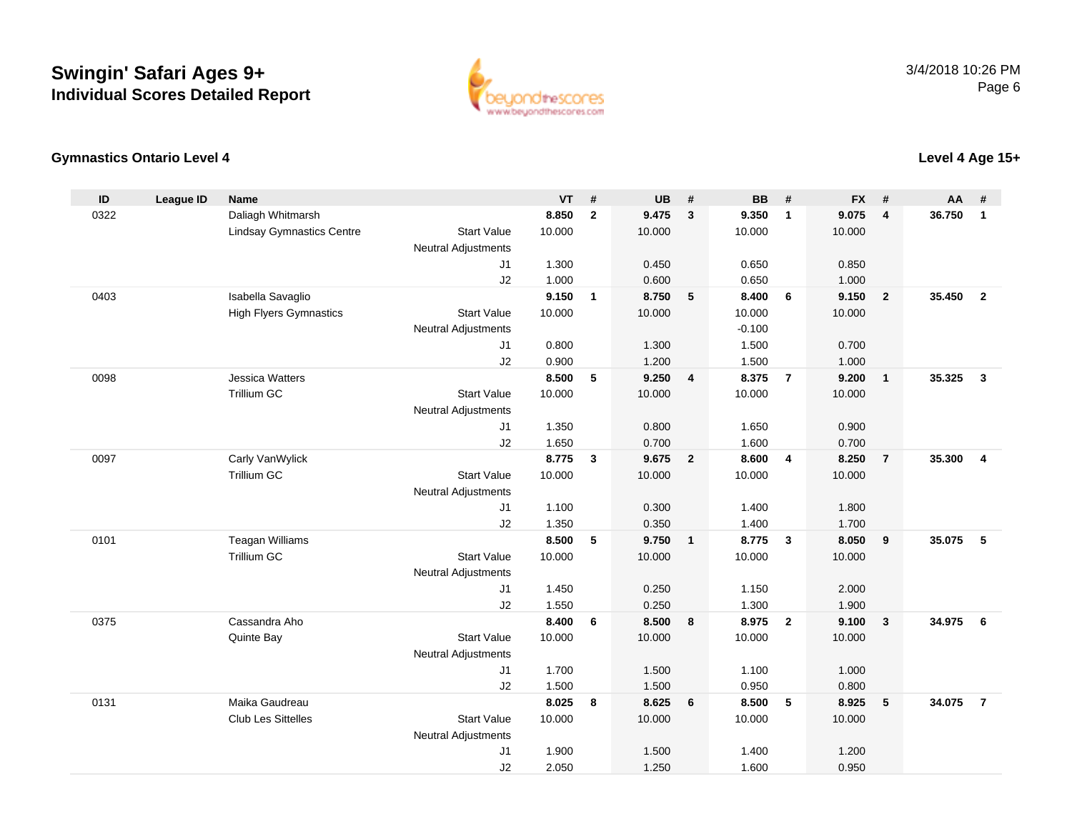

### **Gymnastics Ontario Level 4**

| ID   | <b>League ID</b> | <b>Name</b>                      |                            | <b>VT</b>      | #              | <b>UB</b>      | #                       | <b>BB</b>      | #              | <b>FX</b> | #                       | AA     | #              |
|------|------------------|----------------------------------|----------------------------|----------------|----------------|----------------|-------------------------|----------------|----------------|-----------|-------------------------|--------|----------------|
| 0322 |                  | Daliagh Whitmarsh                |                            | 8.850          | $\overline{2}$ | 9.475          | $\overline{3}$          | 9.350          | $\overline{1}$ | 9.075     | $\overline{\mathbf{4}}$ | 36.750 | $\mathbf{1}$   |
|      |                  | <b>Lindsay Gymnastics Centre</b> | <b>Start Value</b>         | 10.000         |                | 10.000         |                         | 10.000         |                | 10.000    |                         |        |                |
|      |                  |                                  | <b>Neutral Adjustments</b> |                |                |                |                         |                |                |           |                         |        |                |
|      |                  |                                  | J <sub>1</sub>             | 1.300          |                | 0.450          |                         | 0.650          |                | 0.850     |                         |        |                |
|      |                  |                                  | J2                         | 1.000          |                | 0.600          |                         | 0.650          |                | 1.000     |                         |        |                |
| 0403 |                  | Isabella Savaglio                |                            | 9.150          | $\mathbf{1}$   | 8.750          | $-5$                    | 8.400          | - 6            | 9.150     | $\overline{2}$          | 35.450 | $\overline{2}$ |
|      |                  | <b>High Flyers Gymnastics</b>    | <b>Start Value</b>         | 10.000         |                | 10.000         |                         | 10.000         |                | 10.000    |                         |        |                |
|      |                  |                                  | <b>Neutral Adjustments</b> |                |                |                |                         | $-0.100$       |                |           |                         |        |                |
|      |                  |                                  | J1                         | 0.800          |                | 1.300          |                         | 1.500          |                | 0.700     |                         |        |                |
|      |                  |                                  | J2                         | 0.900          |                | 1.200          |                         | 1.500          |                | 1.000     |                         |        |                |
| 0098 |                  | <b>Jessica Watters</b>           |                            | 8.500          | 5              | 9.250          | $\overline{4}$          | 8.375          | $\overline{7}$ | 9.200     | $\overline{1}$          | 35.325 | $\mathbf{3}$   |
|      |                  | Trillium GC                      | <b>Start Value</b>         | 10.000         |                | 10.000         |                         | 10.000         |                | 10.000    |                         |        |                |
|      |                  |                                  | <b>Neutral Adjustments</b> |                |                |                |                         |                |                |           |                         |        |                |
|      |                  |                                  | J1                         | 1.350          |                | 0.800          |                         | 1.650          |                | 0.900     |                         |        |                |
|      |                  |                                  | J2                         | 1.650          |                | 0.700          |                         | 1.600          |                | 0.700     |                         |        |                |
| 0097 |                  | Carly VanWylick                  |                            | 8.775          | $\mathbf{3}$   | 9.675          | $\overline{\mathbf{2}}$ | 8.600          | $\overline{4}$ | 8.250     | $\overline{7}$          | 35.300 | $\overline{4}$ |
|      |                  | <b>Trillium GC</b>               | <b>Start Value</b>         | 10.000         |                | 10.000         |                         | 10.000         |                | 10.000    |                         |        |                |
|      |                  |                                  | <b>Neutral Adjustments</b> |                |                |                |                         |                |                |           |                         |        |                |
|      |                  |                                  | J <sub>1</sub>             | 1.100          |                | 0.300          |                         | 1.400          |                | 1.800     |                         |        |                |
|      |                  |                                  | J2                         | 1.350          |                | 0.350          |                         | 1.400          |                | 1.700     |                         |        |                |
| 0101 |                  | <b>Teagan Williams</b>           |                            | 8.500          | 5              | 9.750          | $\overline{1}$          | 8.775          | $\mathbf{3}$   | 8.050     | 9                       | 35.075 | 5              |
|      |                  | <b>Trillium GC</b>               | <b>Start Value</b>         | 10.000         |                | 10.000         |                         | 10.000         |                | 10.000    |                         |        |                |
|      |                  |                                  | <b>Neutral Adjustments</b> |                |                |                |                         |                |                |           |                         |        |                |
|      |                  |                                  | J1                         | 1.450          |                | 0.250          |                         | 1.150          |                | 2.000     |                         |        |                |
| 0375 |                  | Cassandra Aho                    | J2                         | 1.550<br>8.400 | 6              | 0.250<br>8.500 | 8                       | 1.300<br>8.975 | $\overline{2}$ | 1.900     |                         | 34.975 | - 6            |
|      |                  |                                  | <b>Start Value</b>         |                |                |                |                         | 10.000         |                | 9.100     | $\mathbf{3}$            |        |                |
|      |                  | Quinte Bay                       | <b>Neutral Adjustments</b> | 10.000         |                | 10.000         |                         |                |                | 10.000    |                         |        |                |
|      |                  |                                  | J1                         | 1.700          |                | 1.500          |                         | 1.100          |                | 1.000     |                         |        |                |
|      |                  |                                  |                            | 1.500          |                | 1.500          |                         | 0.950          |                | 0.800     |                         |        |                |
| 0131 |                  | Maika Gaudreau                   | J2                         | 8.025          | 8              | 8.625          | 6                       | 8.500          | 5              | 8.925     | 5                       | 34.075 | $\overline{7}$ |
|      |                  | <b>Club Les Sittelles</b>        | <b>Start Value</b>         | 10.000         |                | 10.000         |                         | 10.000         |                | 10.000    |                         |        |                |
|      |                  |                                  | <b>Neutral Adjustments</b> |                |                |                |                         |                |                |           |                         |        |                |
|      |                  |                                  | J <sub>1</sub>             | 1.900          |                | 1.500          |                         | 1.400          |                | 1.200     |                         |        |                |
|      |                  |                                  | J2                         | 2.050          |                | 1.250          |                         | 1.600          |                | 0.950     |                         |        |                |
|      |                  |                                  |                            |                |                |                |                         |                |                |           |                         |        |                |

**Level 4 Age 15+**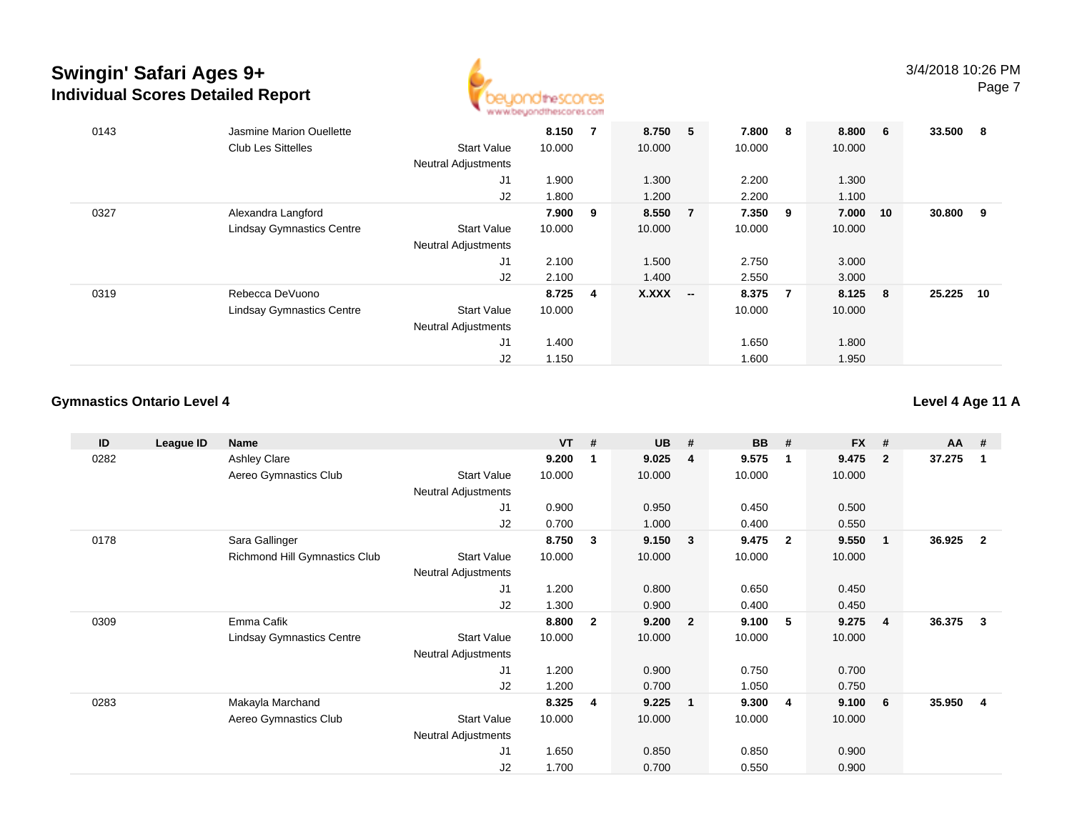

| 0143 | Jasmine Marion Ouellette         |                            | 8.150   | 7 | 8.750        | 5                        | 7.800   | - 8            | 8.800  | - 6 | 33.500 | 8  |
|------|----------------------------------|----------------------------|---------|---|--------------|--------------------------|---------|----------------|--------|-----|--------|----|
|      | <b>Club Les Sittelles</b>        | <b>Start Value</b>         | 10.000  |   | 10.000       |                          | 10.000  |                | 10.000 |     |        |    |
|      |                                  | <b>Neutral Adjustments</b> |         |   |              |                          |         |                |        |     |        |    |
|      |                                  | J1                         | 1.900   |   | 1.300        |                          | 2.200   |                | 1.300  |     |        |    |
|      |                                  | J2                         | 1.800   |   | 1.200        |                          | 2.200   |                | 1.100  |     |        |    |
| 0327 | Alexandra Langford               |                            | 7.900 9 |   | 8.550        | $\overline{7}$           | 7.350 9 |                | 7.000  | 10  | 30.800 | 9  |
|      | <b>Lindsay Gymnastics Centre</b> | <b>Start Value</b>         | 10.000  |   | 10.000       |                          | 10.000  |                | 10.000 |     |        |    |
|      |                                  | <b>Neutral Adjustments</b> |         |   |              |                          |         |                |        |     |        |    |
|      |                                  | J1                         | 2.100   |   | 1.500        |                          | 2.750   |                | 3.000  |     |        |    |
|      |                                  | J2                         | 2.100   |   | 1.400        |                          | 2.550   |                | 3.000  |     |        |    |
| 0319 | Rebecca DeVuono                  |                            | 8.725 4 |   | <b>X.XXX</b> | $\overline{\phantom{a}}$ | 8.375   | $\overline{7}$ | 8.125  | - 8 | 25.225 | 10 |
|      | <b>Lindsay Gymnastics Centre</b> | <b>Start Value</b>         | 10.000  |   |              |                          | 10.000  |                | 10.000 |     |        |    |
|      |                                  | <b>Neutral Adjustments</b> |         |   |              |                          |         |                |        |     |        |    |
|      |                                  | J1                         | 1.400   |   |              |                          | 1.650   |                | 1.800  |     |        |    |
|      |                                  | J <sub>2</sub>             | 1.150   |   |              |                          | 1.600   |                | 1.950  |     |        |    |

### **Gymnastics Ontario Level 4**

**Level 4 Age 11 A**

| ID   | League ID | <b>Name</b>                      |                            | $VT$ # |                | <b>UB</b> | #              | <b>BB</b> | #                       | <b>FX</b> | #                       | AA     | #                       |
|------|-----------|----------------------------------|----------------------------|--------|----------------|-----------|----------------|-----------|-------------------------|-----------|-------------------------|--------|-------------------------|
| 0282 |           | Ashley Clare                     |                            | 9.200  | 1              | 9.025     | 4              | 9.575     | $\mathbf 1$             | 9.475     | $\overline{2}$          | 37.275 | $\mathbf{1}$            |
|      |           | Aereo Gymnastics Club            | <b>Start Value</b>         | 10.000 |                | 10.000    |                | 10.000    |                         | 10.000    |                         |        |                         |
|      |           |                                  | <b>Neutral Adjustments</b> |        |                |           |                |           |                         |           |                         |        |                         |
|      |           |                                  | J <sub>1</sub>             | 0.900  |                | 0.950     |                | 0.450     |                         | 0.500     |                         |        |                         |
|      |           |                                  | J2                         | 0.700  |                | 1.000     |                | 0.400     |                         | 0.550     |                         |        |                         |
| 0178 |           | Sara Gallinger                   |                            | 8.750  | 3              | 9.150     | 3              | 9.475     | $\overline{\mathbf{2}}$ | 9.550     | $\overline{\mathbf{1}}$ | 36.925 | $\overline{\mathbf{2}}$ |
|      |           | Richmond Hill Gymnastics Club    | <b>Start Value</b>         | 10.000 |                | 10.000    |                | 10.000    |                         | 10.000    |                         |        |                         |
|      |           |                                  | <b>Neutral Adjustments</b> |        |                |           |                |           |                         |           |                         |        |                         |
|      |           |                                  | J <sub>1</sub>             | 1.200  |                | 0.800     |                | 0.650     |                         | 0.450     |                         |        |                         |
|      |           |                                  | J2                         | 1.300  |                | 0.900     |                | 0.400     |                         | 0.450     |                         |        |                         |
| 0309 |           | Emma Cafik                       |                            | 8.800  | $\mathbf{2}$   | 9.200     | $\overline{2}$ | 9.100     | 5                       | 9.275     | $\overline{\mathbf{4}}$ | 36.375 | -3                      |
|      |           | <b>Lindsay Gymnastics Centre</b> | <b>Start Value</b>         | 10.000 |                | 10.000    |                | 10.000    |                         | 10.000    |                         |        |                         |
|      |           |                                  | <b>Neutral Adjustments</b> |        |                |           |                |           |                         |           |                         |        |                         |
|      |           |                                  | J1                         | 1.200  |                | 0.900     |                | 0.750     |                         | 0.700     |                         |        |                         |
|      |           |                                  | J2                         | 1.200  |                | 0.700     |                | 1.050     |                         | 0.750     |                         |        |                         |
| 0283 |           | Makayla Marchand                 |                            | 8.325  | $\overline{4}$ | 9.225     | $\mathbf 1$    | 9.300     | 4                       | 9.100     | - 6                     | 35.950 | -4                      |
|      |           | Aereo Gymnastics Club            | <b>Start Value</b>         | 10.000 |                | 10.000    |                | 10.000    |                         | 10.000    |                         |        |                         |
|      |           |                                  | Neutral Adjustments        |        |                |           |                |           |                         |           |                         |        |                         |
|      |           |                                  | J1                         | 1.650  |                | 0.850     |                | 0.850     |                         | 0.900     |                         |        |                         |
|      |           |                                  | J2                         | 1.700  |                | 0.700     |                | 0.550     |                         | 0.900     |                         |        |                         |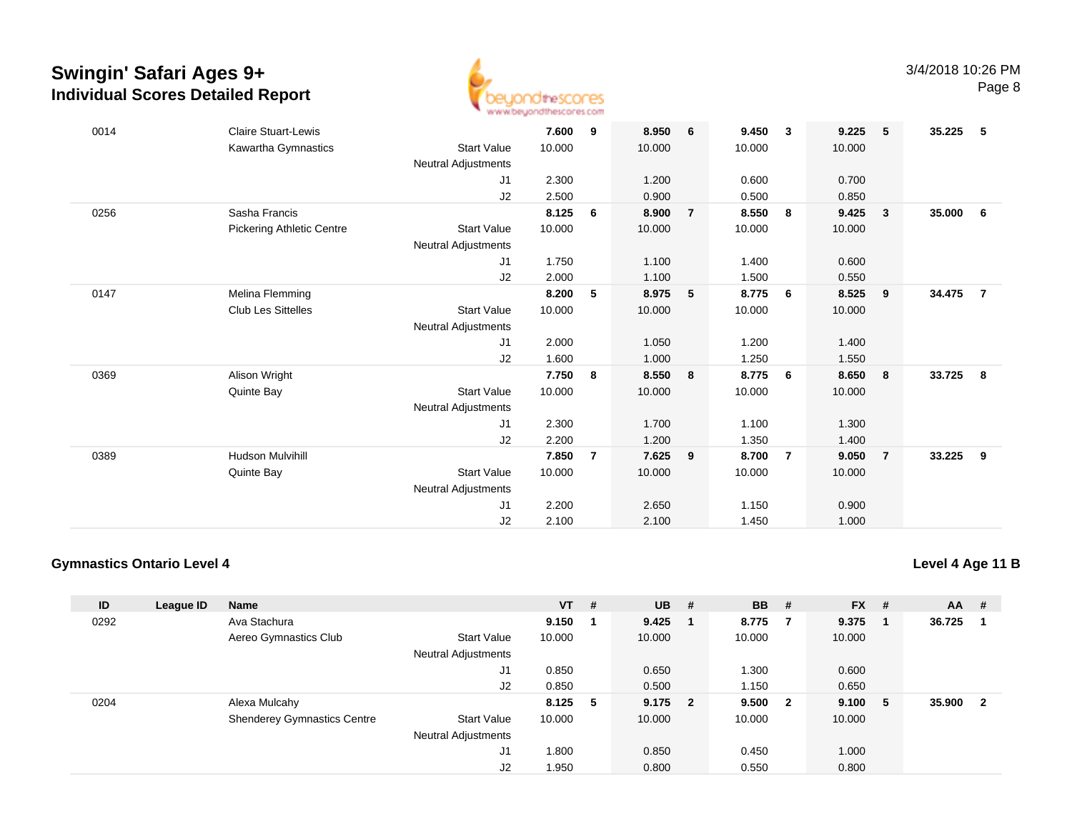

| 0014 | <b>Claire Stuart-Lewis</b>       |                     | 7.600  | 9 | 8.950  | 6              | 9.450  | $\overline{\mathbf{3}}$ | 9.225  | 5                       | 35.225 | -5             |
|------|----------------------------------|---------------------|--------|---|--------|----------------|--------|-------------------------|--------|-------------------------|--------|----------------|
|      | Kawartha Gymnastics              | <b>Start Value</b>  | 10.000 |   | 10.000 |                | 10.000 |                         | 10.000 |                         |        |                |
|      |                                  | Neutral Adjustments |        |   |        |                |        |                         |        |                         |        |                |
|      |                                  | J1                  | 2.300  |   | 1.200  |                | 0.600  |                         | 0.700  |                         |        |                |
|      |                                  | J2                  | 2.500  |   | 0.900  |                | 0.500  |                         | 0.850  |                         |        |                |
| 0256 | Sasha Francis                    |                     | 8.125  | 6 | 8.900  | $\overline{7}$ | 8.550  | 8                       | 9.425  | $\overline{\mathbf{3}}$ | 35.000 | 6              |
|      | <b>Pickering Athletic Centre</b> | <b>Start Value</b>  | 10.000 |   | 10.000 |                | 10.000 |                         | 10.000 |                         |        |                |
|      |                                  | Neutral Adjustments |        |   |        |                |        |                         |        |                         |        |                |
|      |                                  | J1                  | 1.750  |   | 1.100  |                | 1.400  |                         | 0.600  |                         |        |                |
|      |                                  | J2                  | 2.000  |   | 1.100  |                | 1.500  |                         | 0.550  |                         |        |                |
| 0147 | Melina Flemming                  |                     | 8.200  | 5 | 8.975  | 5              | 8.775  | 6                       | 8.525  | - 9                     | 34.475 | $\overline{7}$ |
|      | <b>Club Les Sittelles</b>        | <b>Start Value</b>  | 10.000 |   | 10.000 |                | 10.000 |                         | 10.000 |                         |        |                |
|      |                                  | Neutral Adjustments |        |   |        |                |        |                         |        |                         |        |                |
|      |                                  | J1                  | 2.000  |   | 1.050  |                | 1.200  |                         | 1.400  |                         |        |                |
|      |                                  | J2                  | 1.600  |   | 1.000  |                | 1.250  |                         | 1.550  |                         |        |                |
| 0369 | Alison Wright                    |                     | 7.750  | 8 | 8.550  | 8              | 8.775  | - 6                     | 8.650  | - 8                     | 33.725 | 8              |
|      | Quinte Bay                       | <b>Start Value</b>  | 10.000 |   | 10.000 |                | 10.000 |                         | 10.000 |                         |        |                |
|      |                                  | Neutral Adjustments |        |   |        |                |        |                         |        |                         |        |                |
|      |                                  | J1                  | 2.300  |   | 1.700  |                | 1.100  |                         | 1.300  |                         |        |                |
|      |                                  | J2                  | 2.200  |   | 1.200  |                | 1.350  |                         | 1.400  |                         |        |                |
| 0389 | <b>Hudson Mulvihill</b>          |                     | 7.850  | 7 | 7.625  | 9              | 8.700  | $\overline{7}$          | 9.050  | $\overline{7}$          | 33.225 | 9              |
|      | Quinte Bay                       | <b>Start Value</b>  | 10.000 |   | 10.000 |                | 10.000 |                         | 10.000 |                         |        |                |
|      |                                  | Neutral Adjustments |        |   |        |                |        |                         |        |                         |        |                |
|      |                                  | J1                  | 2.200  |   | 2.650  |                | 1.150  |                         | 0.900  |                         |        |                |
|      |                                  | J2                  | 2.100  |   | 2.100  |                | 1.450  |                         | 1.000  |                         |        |                |

### **Gymnastics Ontario Level 4**

|  |  | Level 4 Age 11 B |
|--|--|------------------|
|  |  |                  |

| ID   | League ID | <b>Name</b>                        |                            | $VT$ # |    | <b>UB</b> | #                        | <b>BB</b> | #            | $FX$ # |   | $AA$ # |                         |
|------|-----------|------------------------------------|----------------------------|--------|----|-----------|--------------------------|-----------|--------------|--------|---|--------|-------------------------|
| 0292 |           | Ava Stachura                       |                            | 9.150  |    | 9.425     |                          | 8.775     |              | 9.375  |   | 36.725 |                         |
|      |           | Aereo Gymnastics Club              | <b>Start Value</b>         | 10.000 |    | 10.000    |                          | 10.000    |              | 10.000 |   |        |                         |
|      |           |                                    | <b>Neutral Adjustments</b> |        |    |           |                          |           |              |        |   |        |                         |
|      |           |                                    | J1                         | 0.850  |    | 0.650     |                          | 1.300     |              | 0.600  |   |        |                         |
|      |           |                                    | J2                         | 0.850  |    | 0.500     |                          | 1.150     |              | 0.650  |   |        |                         |
| 0204 |           | Alexa Mulcahy                      |                            | 8.125  | -5 | 9.175     | $\overline{\phantom{a}}$ | 9.500     | $\mathbf{2}$ | 9.100  | 5 | 35.900 | $\overline{\mathbf{2}}$ |
|      |           | <b>Shenderey Gymnastics Centre</b> | <b>Start Value</b>         | 10.000 |    | 10.000    |                          | 10.000    |              | 10.000 |   |        |                         |
|      |           |                                    | <b>Neutral Adjustments</b> |        |    |           |                          |           |              |        |   |        |                         |
|      |           |                                    | J1                         | 1.800  |    | 0.850     |                          | 0.450     |              | 1.000  |   |        |                         |
|      |           |                                    | J2                         | 1.950  |    | 0.800     |                          | 0.550     |              | 0.800  |   |        |                         |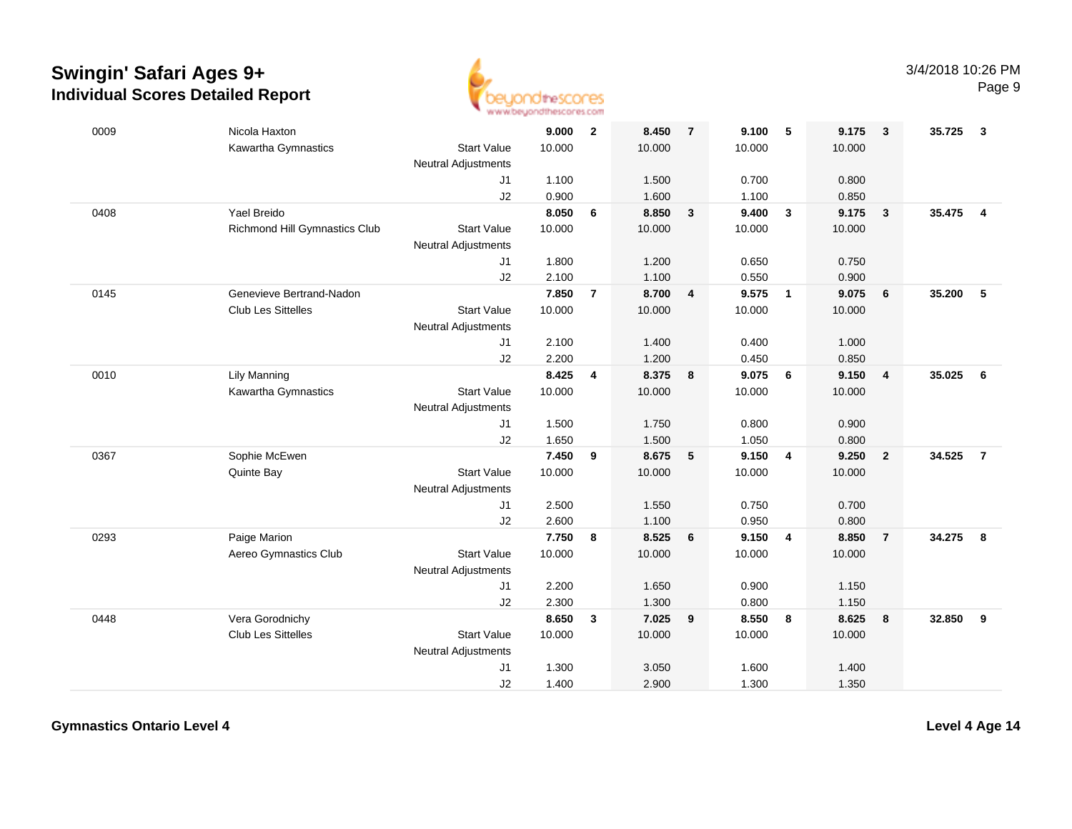

| 0009 | Nicola Haxton                 |                            | 9.000  | $\overline{2}$ | 8.450   | $\overline{7}$  | 9.100  | 5                        | 9.175  | $\mathbf{3}$   | 35.725 | -3             |
|------|-------------------------------|----------------------------|--------|----------------|---------|-----------------|--------|--------------------------|--------|----------------|--------|----------------|
|      | Kawartha Gymnastics           | <b>Start Value</b>         | 10.000 |                | 10.000  |                 | 10.000 |                          | 10.000 |                |        |                |
|      |                               | Neutral Adjustments        |        |                |         |                 |        |                          |        |                |        |                |
|      |                               | J1                         | 1.100  |                | 1.500   |                 | 0.700  |                          | 0.800  |                |        |                |
|      |                               | J2                         | 0.900  |                | 1.600   |                 | 1.100  |                          | 0.850  |                |        |                |
| 0408 | Yael Breido                   |                            | 8.050  | 6              | 8.850   | $\mathbf{3}$    | 9.400  | $\mathbf{3}$             | 9.175  | $\mathbf{3}$   | 35.475 | $\overline{4}$ |
|      | Richmond Hill Gymnastics Club | <b>Start Value</b>         | 10.000 |                | 10.000  |                 | 10.000 |                          | 10.000 |                |        |                |
|      |                               | <b>Neutral Adjustments</b> |        |                |         |                 |        |                          |        |                |        |                |
|      |                               | J1                         | 1.800  |                | 1.200   |                 | 0.650  |                          | 0.750  |                |        |                |
|      |                               | J2                         | 2.100  |                | 1.100   |                 | 0.550  |                          | 0.900  |                |        |                |
| 0145 | Genevieve Bertrand-Nadon      |                            | 7.850  | $\overline{7}$ | 8.700   | 4               | 9.575  | $\overline{\phantom{0}}$ | 9.075  | 6              | 35.200 | 5              |
|      | Club Les Sittelles            | <b>Start Value</b>         | 10.000 |                | 10.000  |                 | 10.000 |                          | 10.000 |                |        |                |
|      |                               | <b>Neutral Adjustments</b> |        |                |         |                 |        |                          |        |                |        |                |
|      |                               | J <sub>1</sub>             | 2.100  |                | 1.400   |                 | 0.400  |                          | 1.000  |                |        |                |
|      |                               | J2                         | 2.200  |                | 1.200   |                 | 0.450  |                          | 0.850  |                |        |                |
| 0010 | Lily Manning                  |                            | 8.425  | 4              | 8.375 8 |                 | 9.075  | 6                        | 9.150  | $\overline{4}$ | 35.025 | 6              |
|      | Kawartha Gymnastics           | <b>Start Value</b>         | 10.000 |                | 10.000  |                 | 10.000 |                          | 10.000 |                |        |                |
|      |                               | Neutral Adjustments        |        |                |         |                 |        |                          |        |                |        |                |
|      |                               | J1                         | 1.500  |                | 1.750   |                 | 0.800  |                          | 0.900  |                |        |                |
|      |                               | J2                         | 1.650  |                | 1.500   |                 | 1.050  |                          | 0.800  |                |        |                |
| 0367 | Sophie McEwen                 |                            | 7.450  | 9              | 8.675   | 5               | 9.150  | 4                        | 9.250  | $\overline{2}$ | 34.525 | $\overline{7}$ |
|      | Quinte Bay                    | <b>Start Value</b>         | 10.000 |                | 10.000  |                 | 10.000 |                          | 10.000 |                |        |                |
|      |                               | <b>Neutral Adjustments</b> |        |                |         |                 |        |                          |        |                |        |                |
|      |                               | J1                         | 2.500  |                | 1.550   |                 | 0.750  |                          | 0.700  |                |        |                |
|      |                               | J2                         | 2.600  |                | 1.100   |                 | 0.950  |                          | 0.800  |                |        |                |
| 0293 | Paige Marion                  |                            | 7.750  | 8              | 8.525   | $6\phantom{1}6$ | 9.150  | $\overline{4}$           | 8.850  | $\overline{7}$ | 34.275 | 8              |
|      | Aereo Gymnastics Club         | <b>Start Value</b>         | 10.000 |                | 10.000  |                 | 10.000 |                          | 10.000 |                |        |                |
|      |                               | <b>Neutral Adjustments</b> |        |                |         |                 |        |                          |        |                |        |                |
|      |                               | J1                         | 2.200  |                | 1.650   |                 | 0.900  |                          | 1.150  |                |        |                |
|      |                               | J2                         | 2.300  |                | 1.300   |                 | 0.800  |                          | 1.150  |                |        |                |
| 0448 | Vera Gorodnichy               |                            | 8.650  | $\mathbf{3}$   | 7.025   | 9               | 8.550  | 8                        | 8.625  | 8              | 32.850 | 9              |
|      | <b>Club Les Sittelles</b>     | <b>Start Value</b>         | 10.000 |                | 10.000  |                 | 10.000 |                          | 10.000 |                |        |                |
|      |                               | <b>Neutral Adjustments</b> |        |                |         |                 |        |                          |        |                |        |                |
|      |                               | J1                         | 1.300  |                | 3.050   |                 | 1.600  |                          | 1.400  |                |        |                |
|      |                               | J2                         | 1.400  |                | 2.900   |                 | 1.300  |                          | 1.350  |                |        |                |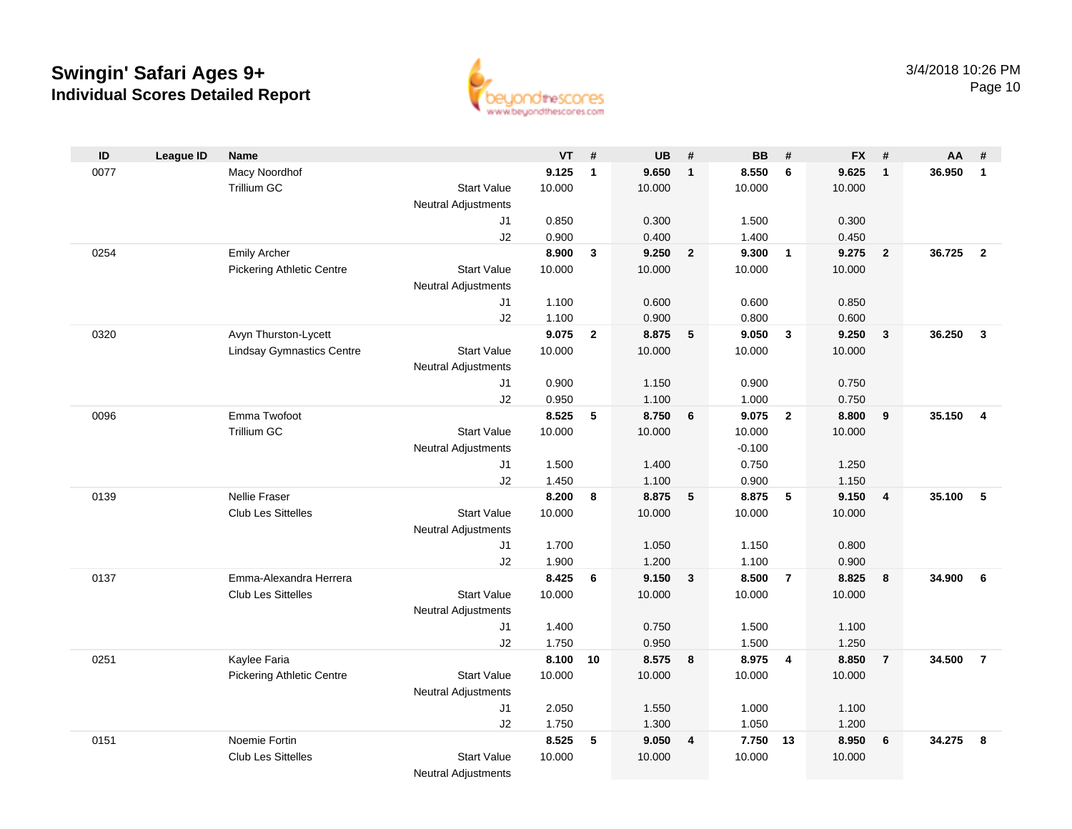

| ID   | <b>League ID</b> | <b>Name</b>                      |                            | $VT$ # |                | <b>UB</b> | #                       | <b>BB</b> | #                       | <b>FX</b> | #                       | AA     | #              |
|------|------------------|----------------------------------|----------------------------|--------|----------------|-----------|-------------------------|-----------|-------------------------|-----------|-------------------------|--------|----------------|
| 0077 |                  | Macy Noordhof                    |                            | 9.125  | $\mathbf{1}$   | 9.650     | $\mathbf{1}$            | 8.550     | 6                       | 9.625     | $\overline{1}$          | 36.950 | $\overline{1}$ |
|      |                  | Trillium GC                      | <b>Start Value</b>         | 10.000 |                | 10.000    |                         | 10.000    |                         | 10.000    |                         |        |                |
|      |                  |                                  | <b>Neutral Adjustments</b> |        |                |           |                         |           |                         |           |                         |        |                |
|      |                  |                                  | J1                         | 0.850  |                | 0.300     |                         | 1.500     |                         | 0.300     |                         |        |                |
|      |                  |                                  | J2                         | 0.900  |                | 0.400     |                         | 1.400     |                         | 0.450     |                         |        |                |
| 0254 |                  | <b>Emily Archer</b>              |                            | 8.900  | 3              | 9.250     | $\overline{2}$          | 9.300     | $\overline{1}$          | 9.275     | $\overline{\mathbf{2}}$ | 36.725 | $\overline{2}$ |
|      |                  | <b>Pickering Athletic Centre</b> | <b>Start Value</b>         | 10.000 |                | 10.000    |                         | 10.000    |                         | 10.000    |                         |        |                |
|      |                  |                                  | <b>Neutral Adjustments</b> |        |                |           |                         |           |                         |           |                         |        |                |
|      |                  |                                  | J1                         | 1.100  |                | 0.600     |                         | 0.600     |                         | 0.850     |                         |        |                |
|      |                  |                                  | J2                         | 1.100  |                | 0.900     |                         | 0.800     |                         | 0.600     |                         |        |                |
| 0320 |                  | Avyn Thurston-Lycett             |                            | 9.075  | $\overline{2}$ | 8.875     | 5                       | 9.050     | $\overline{\mathbf{3}}$ | 9.250     | $\overline{\mathbf{3}}$ | 36.250 | $\mathbf{3}$   |
|      |                  | <b>Lindsay Gymnastics Centre</b> | <b>Start Value</b>         | 10.000 |                | 10.000    |                         | 10.000    |                         | 10.000    |                         |        |                |
|      |                  |                                  | <b>Neutral Adjustments</b> |        |                |           |                         |           |                         |           |                         |        |                |
|      |                  |                                  | J1                         | 0.900  |                | 1.150     |                         | 0.900     |                         | 0.750     |                         |        |                |
|      |                  |                                  | J2                         | 0.950  |                | 1.100     |                         | 1.000     |                         | 0.750     |                         |        |                |
| 0096 |                  | Emma Twofoot                     |                            | 8.525  | 5              | 8.750     | 6                       | 9.075     | $\overline{2}$          | 8.800     | 9                       | 35.150 | $\overline{4}$ |
|      |                  | Trillium GC                      | <b>Start Value</b>         | 10.000 |                | 10.000    |                         | 10.000    |                         | 10.000    |                         |        |                |
|      |                  |                                  | <b>Neutral Adjustments</b> |        |                |           |                         | $-0.100$  |                         |           |                         |        |                |
|      |                  |                                  | J1                         | 1.500  |                | 1.400     |                         | 0.750     |                         | 1.250     |                         |        |                |
|      |                  |                                  | J2                         | 1.450  |                | 1.100     |                         | 0.900     |                         | 1.150     |                         |        |                |
| 0139 |                  | Nellie Fraser                    |                            | 8.200  | 8              | 8.875     | 5                       | 8.875     | $-5$                    | 9.150     | $\overline{4}$          | 35.100 | 5              |
|      |                  | Club Les Sittelles               | <b>Start Value</b>         | 10.000 |                | 10.000    |                         | 10.000    |                         | 10.000    |                         |        |                |
|      |                  |                                  | Neutral Adjustments        |        |                |           |                         |           |                         |           |                         |        |                |
|      |                  |                                  | J1                         | 1.700  |                | 1.050     |                         | 1.150     |                         | 0.800     |                         |        |                |
|      |                  |                                  | J2                         | 1.900  |                | 1.200     |                         | 1.100     |                         | 0.900     |                         |        |                |
| 0137 |                  | Emma-Alexandra Herrera           |                            | 8.425  | 6              | 9.150     | 3                       | 8.500     | $\overline{7}$          | 8.825     | 8                       | 34.900 | - 6            |
|      |                  | <b>Club Les Sittelles</b>        | <b>Start Value</b>         | 10.000 |                | 10.000    |                         | 10.000    |                         | 10.000    |                         |        |                |
|      |                  |                                  | Neutral Adjustments        |        |                |           |                         |           |                         |           |                         |        |                |
|      |                  |                                  | J1                         | 1.400  |                | 0.750     |                         | 1.500     |                         | 1.100     |                         |        |                |
|      |                  |                                  | J2                         | 1.750  |                | 0.950     |                         | 1.500     |                         | 1.250     |                         |        |                |
| 0251 |                  | Kaylee Faria                     |                            | 8.100  | 10             | 8.575 8   |                         | 8.975     | $\overline{\mathbf{4}}$ | 8.850     | $\overline{7}$          | 34.500 | $\overline{7}$ |
|      |                  | <b>Pickering Athletic Centre</b> | <b>Start Value</b>         | 10.000 |                | 10.000    |                         | 10.000    |                         | 10.000    |                         |        |                |
|      |                  |                                  | <b>Neutral Adjustments</b> |        |                |           |                         |           |                         |           |                         |        |                |
|      |                  |                                  | J1                         | 2.050  |                | 1.550     |                         | 1.000     |                         | 1.100     |                         |        |                |
|      |                  |                                  | J2                         | 1.750  |                | 1.300     |                         | 1.050     |                         | 1.200     |                         |        |                |
| 0151 |                  | Noemie Fortin                    |                            | 8.525  | 5              | 9.050     | $\overline{\mathbf{4}}$ | 7.750 13  |                         | 8.950     | 6                       | 34.275 | -8             |
|      |                  | <b>Club Les Sittelles</b>        | <b>Start Value</b>         | 10.000 |                | 10.000    |                         | 10.000    |                         | 10.000    |                         |        |                |
|      |                  |                                  | <b>Neutral Adjustments</b> |        |                |           |                         |           |                         |           |                         |        |                |